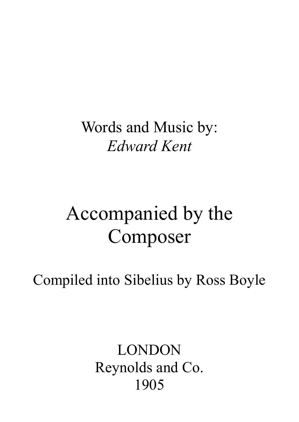Words and Music by: Edward Kent

## Accompanied by the Composer

Compiled into Sibelius by Ross Boyle

LONDON Reynolds and Co. 1905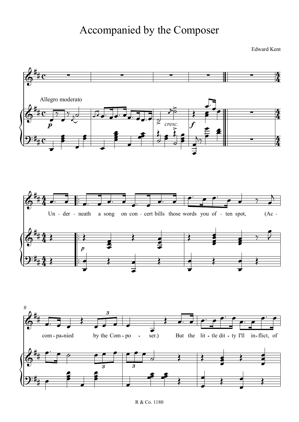## Accompanied by the Composer

Edward Kent

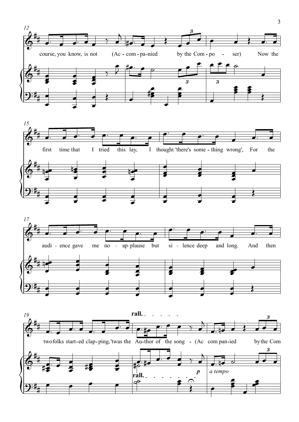





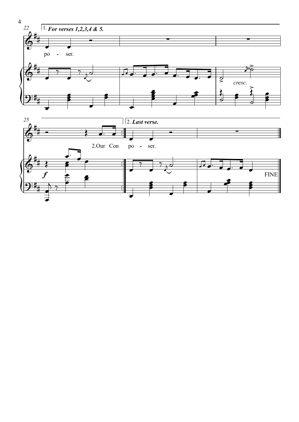